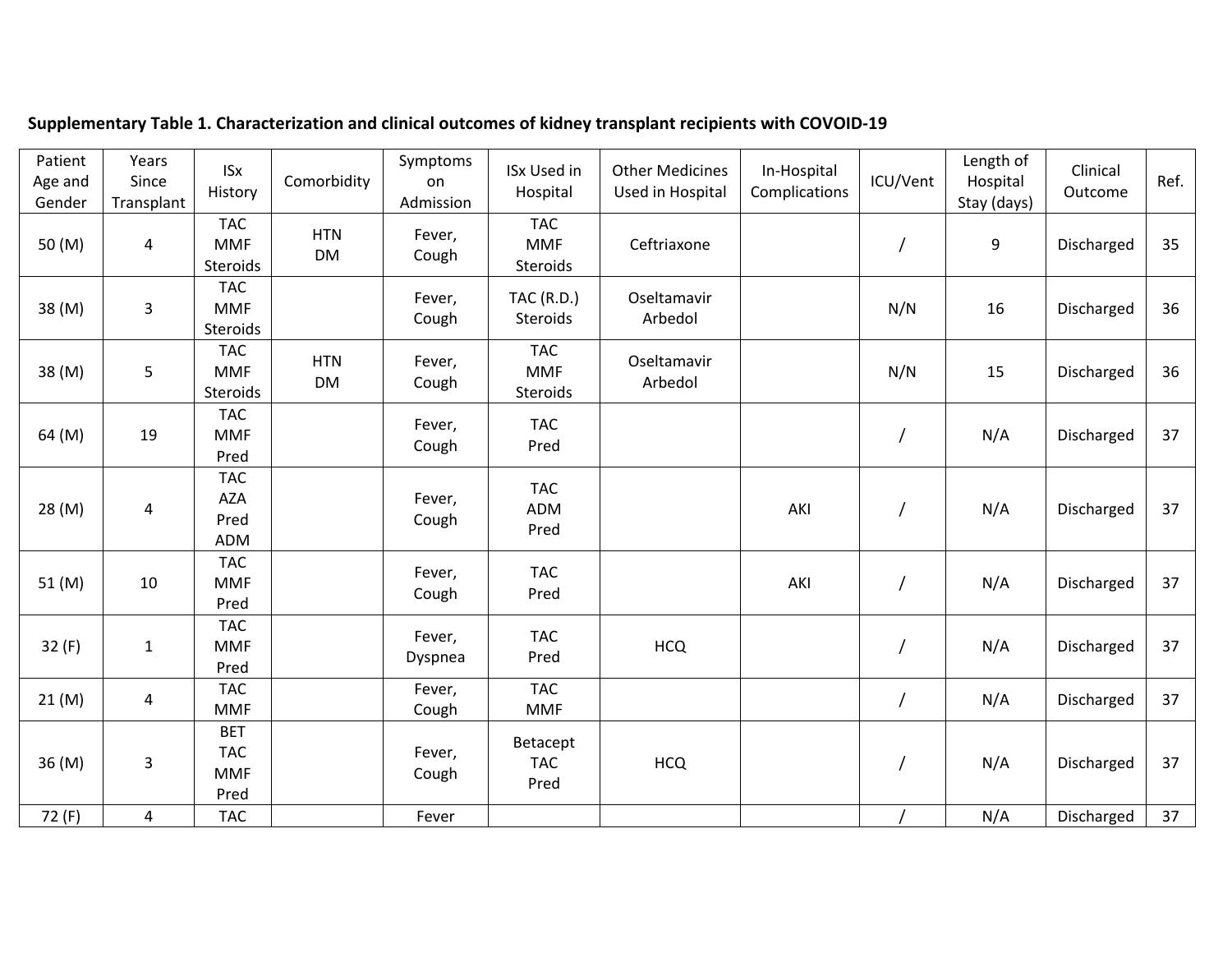| Patient<br>Age and<br>Gender | Years<br>Since<br>Transplant | <b>ISx</b><br>History                          | Comorbidity             | Symptoms<br>on<br>Admission | <b>ISx Used in</b><br>Hospital       | <b>Other Medicines</b><br>Used in Hospital | In-Hospital<br>Complications | ICU/Vent       | Length of<br>Hospital<br>Stay (days) | Clinical<br>Outcome | Ref. |
|------------------------------|------------------------------|------------------------------------------------|-------------------------|-----------------------------|--------------------------------------|--------------------------------------------|------------------------------|----------------|--------------------------------------|---------------------|------|
| 50 (M)                       | $\overline{4}$               | <b>TAC</b><br><b>MMF</b><br>Steroids           | <b>HTN</b><br><b>DM</b> | Fever,<br>Cough             | <b>TAC</b><br><b>MMF</b><br>Steroids | Ceftriaxone                                |                              |                | 9                                    | Discharged          | 35   |
| 38 (M)                       | 3                            | <b>TAC</b><br><b>MMF</b><br>Steroids           |                         | Fever,<br>Cough             | <b>TAC (R.D.)</b><br>Steroids        | Oseltamavir<br>Arbedol                     |                              | N/N            | 16                                   | Discharged          | 36   |
| 38 (M)                       | 5                            | <b>TAC</b><br><b>MMF</b><br>Steroids           | <b>HTN</b><br><b>DM</b> | Fever,<br>Cough             | <b>TAC</b><br><b>MMF</b><br>Steroids | Oseltamavir<br>Arbedol                     |                              | N/N            | 15                                   | Discharged          | 36   |
| 64 (M)                       | 19                           | <b>TAC</b><br><b>MMF</b><br>Pred               |                         | Fever,<br>Cough             | <b>TAC</b><br>Pred                   |                                            |                              | $\overline{1}$ | N/A                                  | Discharged          | 37   |
| 28 (M)                       | 4                            | <b>TAC</b><br><b>AZA</b><br>Pred<br>ADM        |                         | Fever,<br>Cough             | <b>TAC</b><br><b>ADM</b><br>Pred     |                                            | AKI                          | $\overline{1}$ | N/A                                  | Discharged          | 37   |
| 51 (M)                       | 10                           | <b>TAC</b><br><b>MMF</b><br>Pred               |                         | Fever,<br>Cough             | <b>TAC</b><br>Pred                   |                                            | AKI                          | $\overline{1}$ | N/A                                  | Discharged          | 37   |
| 32 (F)                       | $\mathbf 1$                  | <b>TAC</b><br><b>MMF</b><br>Pred               |                         | Fever,<br>Dyspnea           | <b>TAC</b><br>Pred                   | <b>HCQ</b>                                 |                              |                | N/A                                  | Discharged          | 37   |
| 21(M)                        | 4                            | <b>TAC</b><br><b>MMF</b>                       |                         | Fever,<br>Cough             | <b>TAC</b><br><b>MMF</b>             |                                            |                              | $\overline{1}$ | N/A                                  | Discharged          | 37   |
| 36 (M)                       | 3                            | <b>BET</b><br><b>TAC</b><br><b>MMF</b><br>Pred |                         | Fever,<br>Cough             | Betacept<br><b>TAC</b><br>Pred       | <b>HCQ</b>                                 |                              | $\overline{1}$ | N/A                                  | Discharged          | 37   |
| 72 (F)                       | 4                            | <b>TAC</b>                                     |                         | Fever                       |                                      |                                            |                              |                | N/A                                  | Discharged          | 37   |

## **Supplementary Table 1. Characterization and clinical outcomes of kidney transplant recipients with COVOID-19**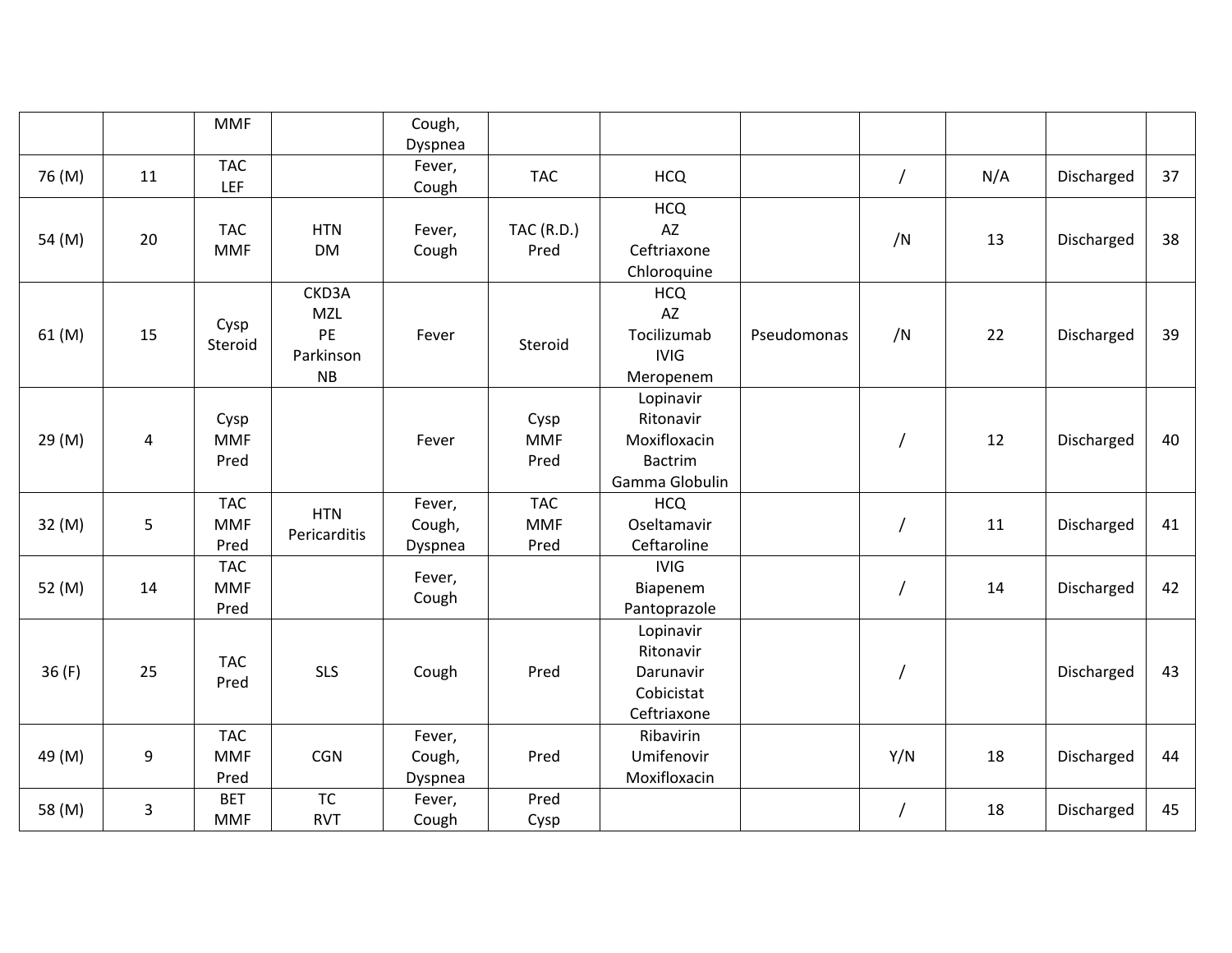|        |                | <b>MMF</b>                       |                                                     | Cough,                      |                                  |                                                                            |             |                |     |            |    |
|--------|----------------|----------------------------------|-----------------------------------------------------|-----------------------------|----------------------------------|----------------------------------------------------------------------------|-------------|----------------|-----|------------|----|
|        |                |                                  |                                                     | Dyspnea                     |                                  |                                                                            |             |                |     |            |    |
| 76 (M) | 11             | <b>TAC</b><br><b>LEF</b>         |                                                     | Fever,<br>Cough             | <b>TAC</b>                       | <b>HCQ</b>                                                                 |             | $\overline{1}$ | N/A | Discharged | 37 |
| 54 (M) | 20             | <b>TAC</b><br><b>MMF</b>         | <b>HTN</b><br><b>DM</b>                             | Fever,<br>Cough             | <b>TAC (R.D.)</b><br>Pred        | <b>HCQ</b><br>AZ<br>Ceftriaxone<br>Chloroquine                             |             | /N             | 13  | Discharged | 38 |
| 61 (M) | 15             | Cysp<br>Steroid                  | CKD3A<br><b>MZL</b><br>PE<br>Parkinson<br><b>NB</b> | Fever                       | Steroid                          | <b>HCQ</b><br>AZ<br>Tocilizumab<br><b>IVIG</b><br>Meropenem                | Pseudomonas | /N             | 22  | Discharged | 39 |
| 29 (M) | 4              | Cysp<br><b>MMF</b><br>Pred       |                                                     | Fever                       | Cysp<br><b>MMF</b><br>Pred       | Lopinavir<br>Ritonavir<br>Moxifloxacin<br><b>Bactrim</b><br>Gamma Globulin |             |                | 12  | Discharged | 40 |
| 32 (M) | 5              | <b>TAC</b><br><b>MMF</b><br>Pred | <b>HTN</b><br>Pericarditis                          | Fever,<br>Cough,<br>Dyspnea | <b>TAC</b><br><b>MMF</b><br>Pred | <b>HCQ</b><br>Oseltamavir<br>Ceftaroline                                   |             |                | 11  | Discharged | 41 |
| 52 (M) | 14             | <b>TAC</b><br><b>MMF</b><br>Pred |                                                     | Fever,<br>Cough             |                                  | <b>IVIG</b><br>Biapenem<br>Pantoprazole                                    |             | $\overline{1}$ | 14  | Discharged | 42 |
| 36(F)  | 25             | <b>TAC</b><br>Pred               | <b>SLS</b>                                          | Cough                       | Pred                             | Lopinavir<br>Ritonavir<br>Darunavir<br>Cobicistat<br>Ceftriaxone           |             |                |     | Discharged | 43 |
| 49 (M) | 9              | <b>TAC</b><br><b>MMF</b><br>Pred | CGN                                                 | Fever,<br>Cough,<br>Dyspnea | Pred                             | Ribavirin<br>Umifenovir<br>Moxifloxacin                                    |             | Y/N            | 18  | Discharged | 44 |
| 58 (M) | $\overline{3}$ | <b>BET</b><br><b>MMF</b>         | <b>TC</b><br><b>RVT</b>                             | Fever,<br>Cough             | Pred<br>Cysp                     |                                                                            |             |                | 18  | Discharged | 45 |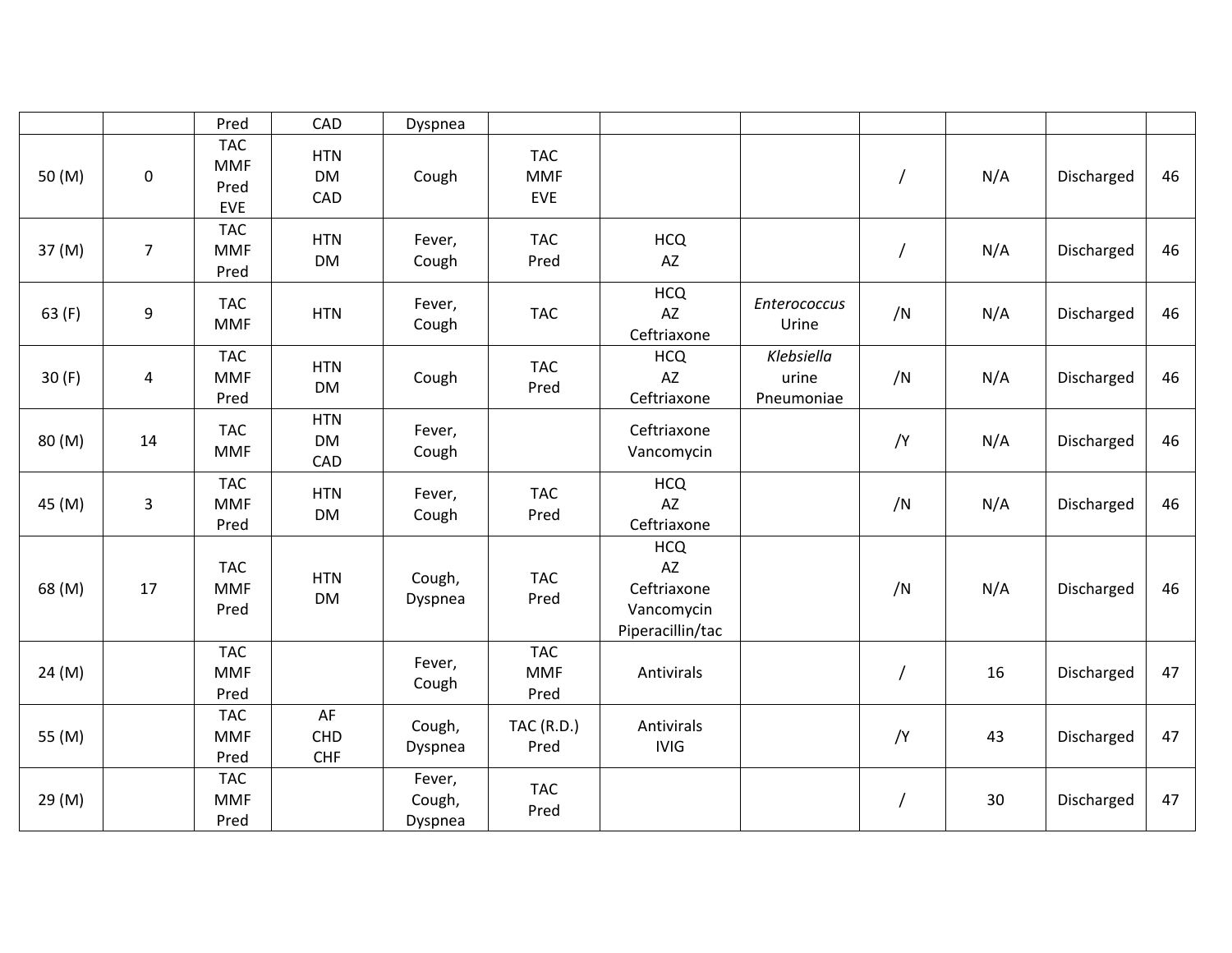|        |                | Pred                                           | CAD                            | Dyspnea                     |                                        |                                                                   |                                   |    |     |            |    |
|--------|----------------|------------------------------------------------|--------------------------------|-----------------------------|----------------------------------------|-------------------------------------------------------------------|-----------------------------------|----|-----|------------|----|
| 50 (M) | $\pmb{0}$      | <b>TAC</b><br><b>MMF</b><br>Pred<br><b>EVE</b> | <b>HTN</b><br><b>DM</b><br>CAD | Cough                       | <b>TAC</b><br><b>MMF</b><br><b>EVE</b> |                                                                   |                                   |    | N/A | Discharged | 46 |
| 37 (M) | $\overline{7}$ | <b>TAC</b><br><b>MMF</b><br>Pred               | <b>HTN</b><br><b>DM</b>        | Fever,<br>Cough             | <b>TAC</b><br>Pred                     | <b>HCQ</b><br>AZ                                                  |                                   |    | N/A | Discharged | 46 |
| 63(F)  | 9              | <b>TAC</b><br><b>MMF</b>                       | <b>HTN</b>                     | Fever,<br>Cough             | <b>TAC</b>                             | <b>HCQ</b><br>AZ<br>Ceftriaxone                                   | Enterococcus<br>Urine             | /N | N/A | Discharged | 46 |
| 30(F)  | 4              | <b>TAC</b><br><b>MMF</b><br>Pred               | <b>HTN</b><br><b>DM</b>        | Cough                       | <b>TAC</b><br>Pred                     | <b>HCQ</b><br>AZ<br>Ceftriaxone                                   | Klebsiella<br>urine<br>Pneumoniae | /N | N/A | Discharged | 46 |
| 80 (M) | 14             | <b>TAC</b><br><b>MMF</b>                       | <b>HTN</b><br><b>DM</b><br>CAD | Fever,<br>Cough             |                                        | Ceftriaxone<br>Vancomycin                                         |                                   | /Y | N/A | Discharged | 46 |
| 45 (M) | 3              | <b>TAC</b><br><b>MMF</b><br>Pred               | <b>HTN</b><br>DM               | Fever,<br>Cough             | <b>TAC</b><br>Pred                     | <b>HCQ</b><br>AZ<br>Ceftriaxone                                   |                                   | /N | N/A | Discharged | 46 |
| 68 (M) | 17             | <b>TAC</b><br><b>MMF</b><br>Pred               | <b>HTN</b><br><b>DM</b>        | Cough,<br>Dyspnea           | <b>TAC</b><br>Pred                     | <b>HCQ</b><br>AZ<br>Ceftriaxone<br>Vancomycin<br>Piperacillin/tac |                                   | /N | N/A | Discharged | 46 |
| 24 (M) |                | <b>TAC</b><br><b>MMF</b><br>Pred               |                                | Fever,<br>Cough             | <b>TAC</b><br><b>MMF</b><br>Pred       | Antivirals                                                        |                                   |    | 16  | Discharged | 47 |
| 55 (M) |                | <b>TAC</b><br><b>MMF</b><br>Pred               | AF<br>CHD<br><b>CHF</b>        | Cough,<br>Dyspnea           | <b>TAC (R.D.)</b><br>Pred              | Antivirals<br><b>IVIG</b>                                         |                                   | /Y | 43  | Discharged | 47 |
| 29 (M) |                | <b>TAC</b><br><b>MMF</b><br>Pred               |                                | Fever,<br>Cough,<br>Dyspnea | <b>TAC</b><br>Pred                     |                                                                   |                                   | Τ  | 30  | Discharged | 47 |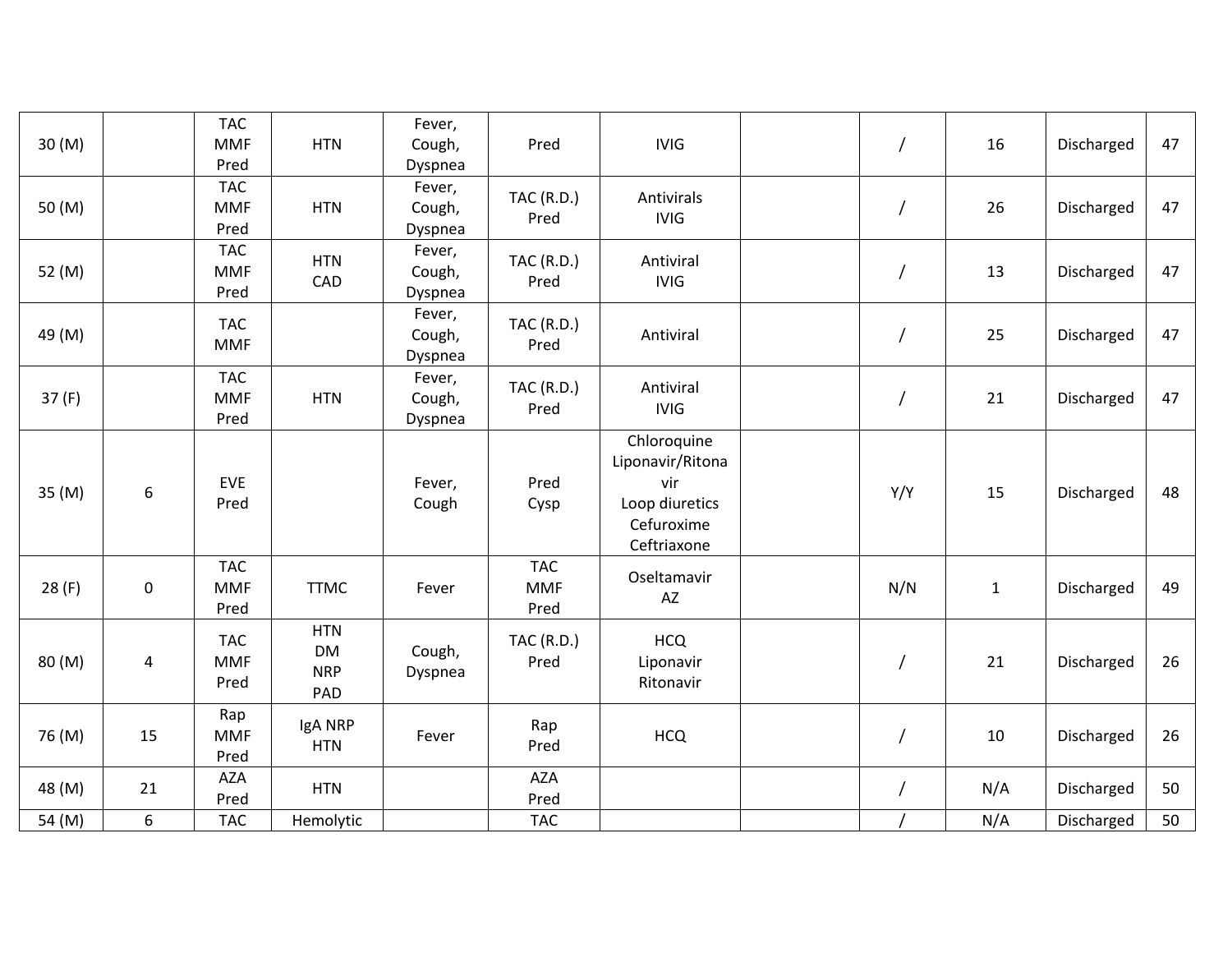| 30 (M) |           | <b>TAC</b><br><b>MMF</b><br>Pred | <b>HTN</b>                                   | Fever,<br>Cough,<br>Dyspnea | Pred                             | <b>IVIG</b>                                                                           |                | 16           | Discharged | 47 |
|--------|-----------|----------------------------------|----------------------------------------------|-----------------------------|----------------------------------|---------------------------------------------------------------------------------------|----------------|--------------|------------|----|
| 50 (M) |           | <b>TAC</b><br><b>MMF</b><br>Pred | <b>HTN</b>                                   | Fever,<br>Cough,<br>Dyspnea | <b>TAC (R.D.)</b><br>Pred        | Antivirals<br><b>IVIG</b>                                                             |                | 26           | Discharged | 47 |
| 52 (M) |           | <b>TAC</b><br><b>MMF</b><br>Pred | <b>HTN</b><br>CAD                            | Fever,<br>Cough,<br>Dyspnea | <b>TAC (R.D.)</b><br>Pred        | Antiviral<br><b>IVIG</b>                                                              |                | 13           | Discharged | 47 |
| 49 (M) |           | <b>TAC</b><br><b>MMF</b>         |                                              | Fever,<br>Cough,<br>Dyspnea | <b>TAC (R.D.)</b><br>Pred        | Antiviral                                                                             |                | 25           | Discharged | 47 |
| 37(F)  |           | <b>TAC</b><br><b>MMF</b><br>Pred | <b>HTN</b>                                   | Fever,<br>Cough,<br>Dyspnea | <b>TAC (R.D.)</b><br>Pred        | Antiviral<br><b>IVIG</b>                                                              | $\overline{1}$ | 21           | Discharged | 47 |
| 35 (M) | 6         | EVE<br>Pred                      |                                              | Fever,<br>Cough             | Pred<br>Cysp                     | Chloroquine<br>Liponavir/Ritona<br>vir<br>Loop diuretics<br>Cefuroxime<br>Ceftriaxone | Y/Y            | 15           | Discharged | 48 |
| 28(F)  | $\pmb{0}$ | <b>TAC</b><br><b>MMF</b><br>Pred | <b>TTMC</b>                                  | Fever                       | <b>TAC</b><br><b>MMF</b><br>Pred | Oseltamavir<br>AZ                                                                     | N/N            | $\mathbf{1}$ | Discharged | 49 |
| 80 (M) | 4         | <b>TAC</b><br><b>MMF</b><br>Pred | <b>HTN</b><br><b>DM</b><br><b>NRP</b><br>PAD | Cough,<br>Dyspnea           | <b>TAC (R.D.)</b><br>Pred        | <b>HCQ</b><br>Liponavir<br>Ritonavir                                                  |                | 21           | Discharged | 26 |
| 76 (M) | 15        | Rap<br><b>MMF</b><br>Pred        | IgA NRP<br><b>HTN</b>                        | Fever                       | Rap<br>Pred                      | <b>HCQ</b>                                                                            |                | 10           | Discharged | 26 |
| 48 (M) | 21        | <b>AZA</b><br>Pred               | <b>HTN</b>                                   |                             | AZA<br>Pred                      |                                                                                       |                | N/A          | Discharged | 50 |
| 54 (M) | 6         | <b>TAC</b>                       | Hemolytic                                    |                             | <b>TAC</b>                       |                                                                                       |                | N/A          | Discharged | 50 |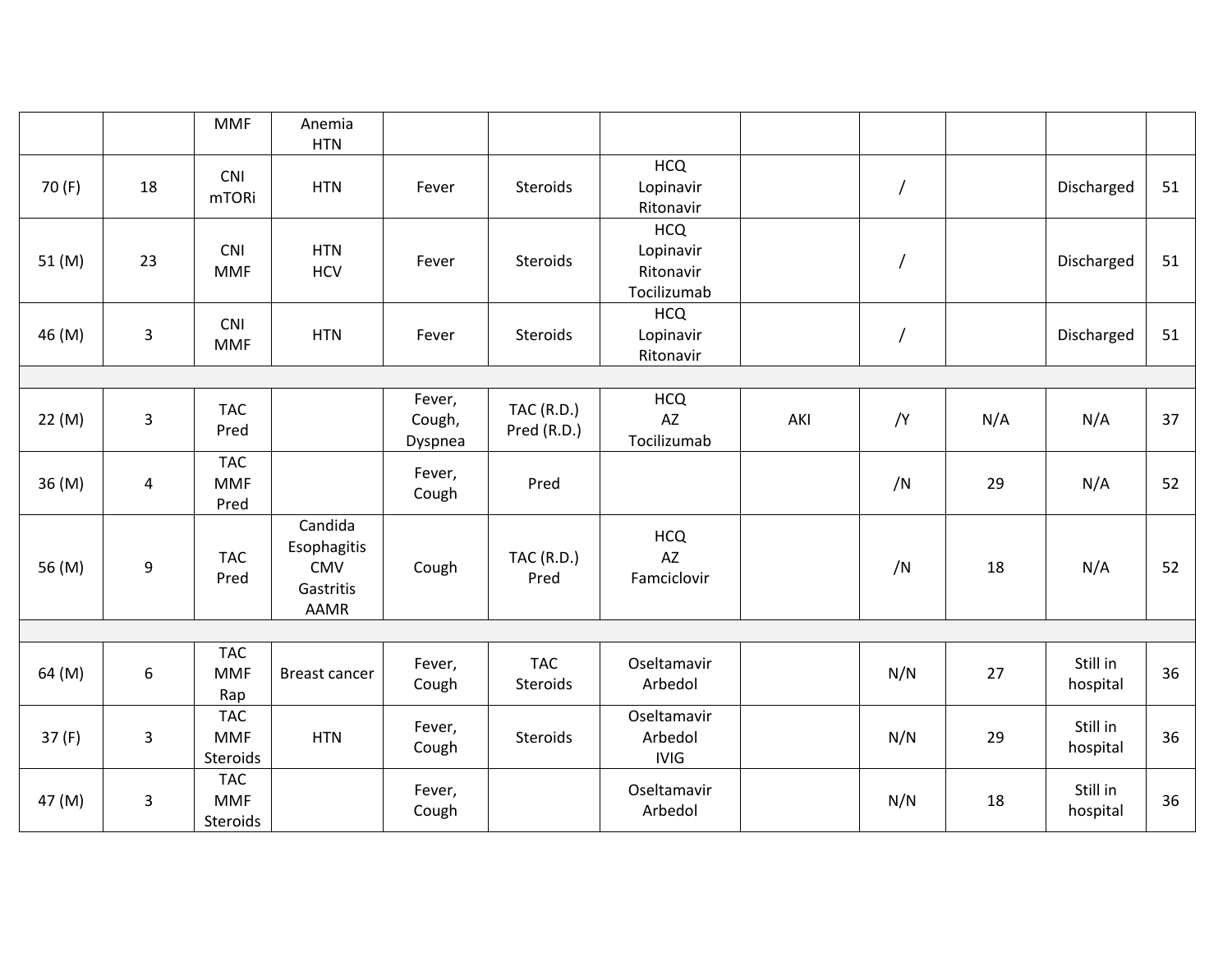|        |    | <b>MMF</b>                           | Anemia<br><b>HTN</b>                                             |                             |                                  |                                                     |     |                |     |                      |    |
|--------|----|--------------------------------------|------------------------------------------------------------------|-----------------------------|----------------------------------|-----------------------------------------------------|-----|----------------|-----|----------------------|----|
| 70 (F) | 18 | <b>CNI</b><br><b>mTORi</b>           | <b>HTN</b>                                                       | Fever                       | Steroids                         | <b>HCQ</b><br>Lopinavir<br>Ritonavir                |     | $\overline{1}$ |     | Discharged           | 51 |
| 51 (M) | 23 | CNI<br><b>MMF</b>                    | <b>HTN</b><br><b>HCV</b>                                         | Fever                       | Steroids                         | <b>HCQ</b><br>Lopinavir<br>Ritonavir<br>Tocilizumab |     | /              |     | Discharged           | 51 |
| 46 (M) | 3  | CNI<br><b>MMF</b>                    | <b>HTN</b>                                                       | Fever                       | Steroids                         | <b>HCQ</b><br>Lopinavir<br>Ritonavir                |     |                |     | Discharged           | 51 |
|        |    |                                      |                                                                  |                             |                                  |                                                     |     |                |     |                      |    |
| 22 (M) | 3  | <b>TAC</b><br>Pred                   |                                                                  | Fever,<br>Cough,<br>Dyspnea | <b>TAC (R.D.)</b><br>Pred (R.D.) | <b>HCQ</b><br>AZ<br>Tocilizumab                     | AKI | /Y             | N/A | N/A                  | 37 |
| 36 (M) | 4  | <b>TAC</b><br><b>MMF</b><br>Pred     |                                                                  | Fever,<br>Cough             | Pred                             |                                                     |     | /N             | 29  | N/A                  | 52 |
| 56 (M) | 9  | <b>TAC</b><br>Pred                   | Candida<br>Esophagitis<br><b>CMV</b><br>Gastritis<br><b>AAMR</b> | Cough                       | <b>TAC (R.D.)</b><br>Pred        | <b>HCQ</b><br>AZ<br>Famciclovir                     |     | /N             | 18  | N/A                  | 52 |
|        |    |                                      |                                                                  |                             |                                  |                                                     |     |                |     |                      |    |
| 64 (M) | 6  | <b>TAC</b><br><b>MMF</b><br>Rap      | <b>Breast cancer</b>                                             | Fever,<br>Cough             | <b>TAC</b><br>Steroids           | Oseltamavir<br>Arbedol                              |     | N/N            | 27  | Still in<br>hospital | 36 |
| 37(F)  | 3  | <b>TAC</b><br><b>MMF</b><br>Steroids | <b>HTN</b>                                                       | Fever,<br>Cough             | Steroids                         | Oseltamavir<br>Arbedol<br><b>IVIG</b>               |     | N/N            | 29  | Still in<br>hospital | 36 |
| 47 (M) | 3  | <b>TAC</b><br><b>MMF</b><br>Steroids |                                                                  | Fever,<br>Cough             |                                  | Oseltamavir<br>Arbedol                              |     | N/N            | 18  | Still in<br>hospital | 36 |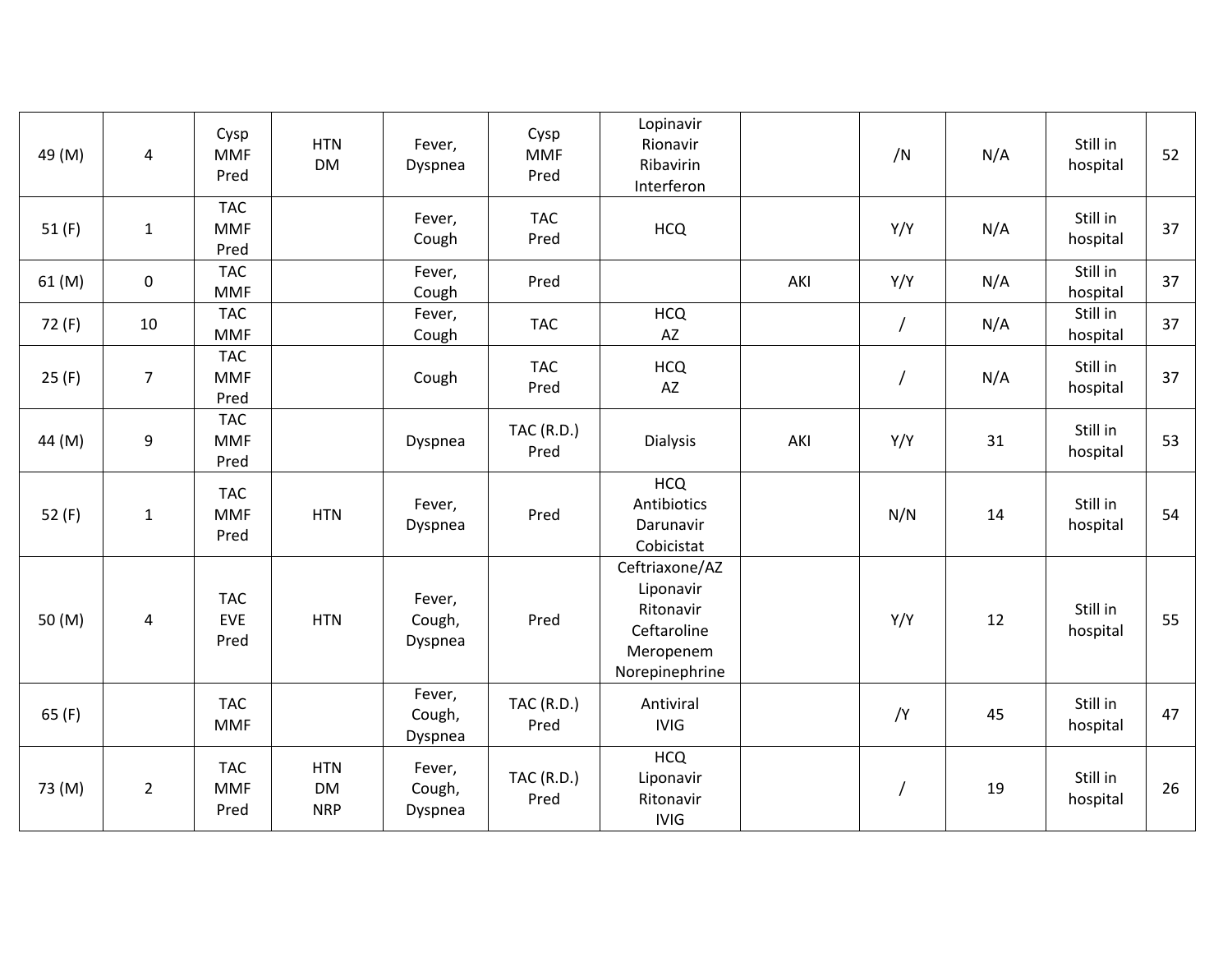| 49 (M)   | 4              | Cysp<br><b>MMF</b><br>Pred       | <b>HTN</b><br><b>DM</b>               | Fever,<br>Dyspnea           | Cysp<br><b>MMF</b><br>Pred | Lopinavir<br>Rionavir<br>Ribavirin<br>Interferon                                       |     | /N       | N/A | Still in<br>hospital | 52 |
|----------|----------------|----------------------------------|---------------------------------------|-----------------------------|----------------------------|----------------------------------------------------------------------------------------|-----|----------|-----|----------------------|----|
| 51(F)    | $\mathbf{1}$   | <b>TAC</b><br><b>MMF</b><br>Pred |                                       | Fever,<br>Cough             | <b>TAC</b><br>Pred         | <b>HCQ</b>                                                                             |     | Y/Y      | N/A | Still in<br>hospital | 37 |
| 61 (M)   | $\mathbf 0$    | <b>TAC</b><br><b>MMF</b>         |                                       | Fever,<br>Cough             | Pred                       |                                                                                        | AKI | Y/Y      | N/A | Still in<br>hospital | 37 |
| 72 (F)   | 10             | <b>TAC</b><br><b>MMF</b>         |                                       | Fever,<br>Cough             | <b>TAC</b>                 | <b>HCQ</b><br>AZ                                                                       |     | $\prime$ | N/A | Still in<br>hospital | 37 |
| 25(F)    | $\overline{7}$ | <b>TAC</b><br><b>MMF</b><br>Pred |                                       | Cough                       | <b>TAC</b><br>Pred         | <b>HCQ</b><br>AZ                                                                       |     |          | N/A | Still in<br>hospital | 37 |
| 44 (M)   | 9              | <b>TAC</b><br><b>MMF</b><br>Pred |                                       | Dyspnea                     | <b>TAC (R.D.)</b><br>Pred  | <b>Dialysis</b>                                                                        | AKI | Y/Y      | 31  | Still in<br>hospital | 53 |
| 52 $(F)$ | $\mathbf{1}$   | <b>TAC</b><br><b>MMF</b><br>Pred | <b>HTN</b>                            | Fever,<br>Dyspnea           | Pred                       | <b>HCQ</b><br>Antibiotics<br>Darunavir<br>Cobicistat                                   |     | N/N      | 14  | Still in<br>hospital | 54 |
| 50 (M)   | 4              | <b>TAC</b><br>EVE<br>Pred        | <b>HTN</b>                            | Fever,<br>Cough,<br>Dyspnea | Pred                       | Ceftriaxone/AZ<br>Liponavir<br>Ritonavir<br>Ceftaroline<br>Meropenem<br>Norepinephrine |     | Y/Y      | 12  | Still in<br>hospital | 55 |
| 65(F)    |                | <b>TAC</b><br><b>MMF</b>         |                                       | Fever,<br>Cough,<br>Dyspnea | <b>TAC (R.D.)</b><br>Pred  | Antiviral<br><b>IVIG</b>                                                               |     | /Y       | 45  | Still in<br>hospital | 47 |
| 73 (M)   | $\overline{2}$ | <b>TAC</b><br><b>MMF</b><br>Pred | <b>HTN</b><br><b>DM</b><br><b>NRP</b> | Fever,<br>Cough,<br>Dyspnea | <b>TAC (R.D.)</b><br>Pred  | <b>HCQ</b><br>Liponavir<br>Ritonavir<br><b>IVIG</b>                                    |     |          | 19  | Still in<br>hospital | 26 |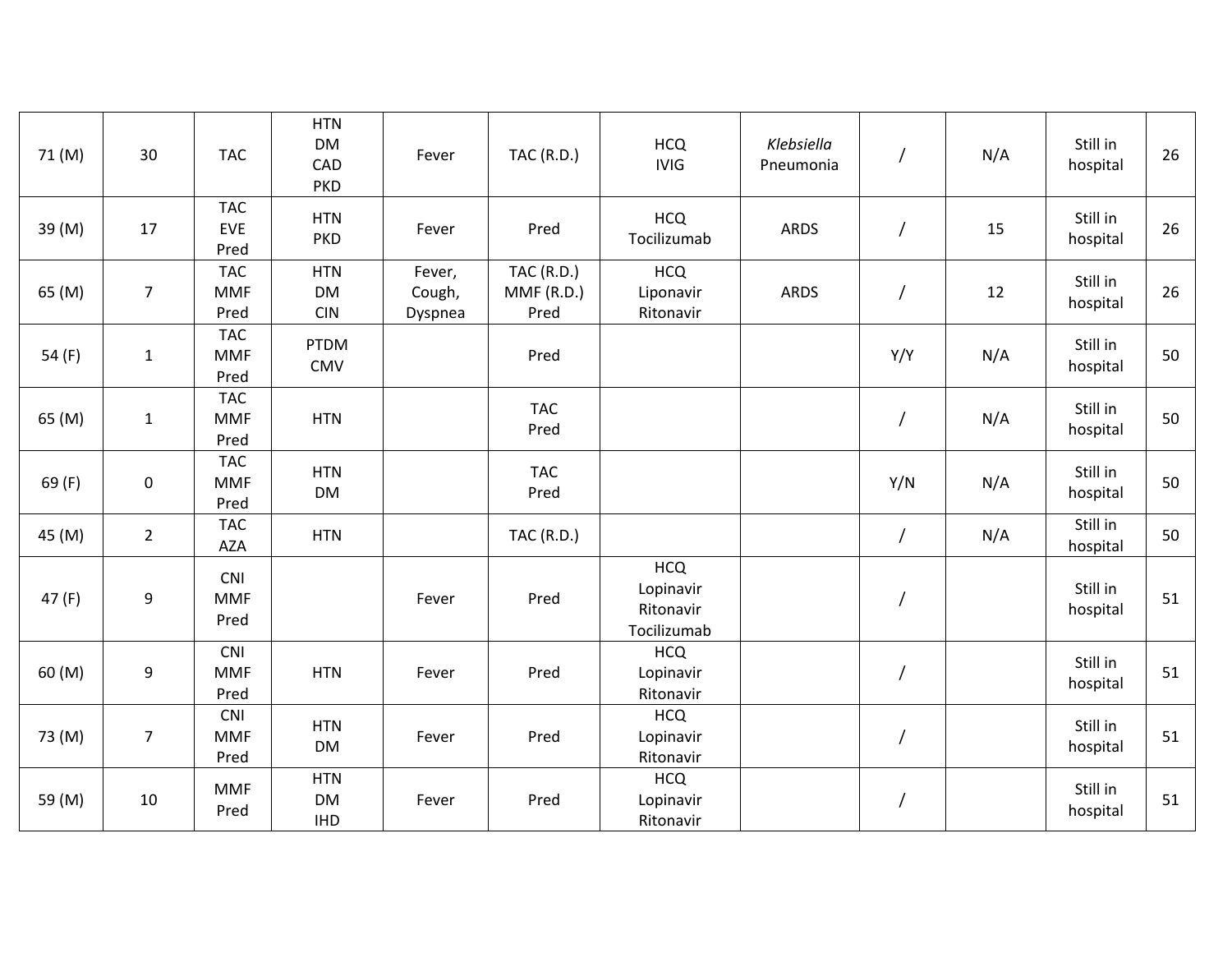| 71 (M)   | 30               | <b>TAC</b>                       | <b>HTN</b><br><b>DM</b><br>CAD<br><b>PKD</b> | Fever                       | <b>TAC (R.D.)</b>                      | <b>HCQ</b><br><b>IVIG</b>                           | Klebsiella<br>Pneumonia |                | N/A | Still in<br>hospital | 26 |
|----------|------------------|----------------------------------|----------------------------------------------|-----------------------------|----------------------------------------|-----------------------------------------------------|-------------------------|----------------|-----|----------------------|----|
| 39 (M)   | 17               | <b>TAC</b><br>EVE<br>Pred        | <b>HTN</b><br><b>PKD</b>                     | Fever                       | Pred                                   | <b>HCQ</b><br>Tocilizumab                           | <b>ARDS</b>             | $\prime$       | 15  | Still in<br>hospital | 26 |
| 65 (M)   | $\overline{7}$   | <b>TAC</b><br><b>MMF</b><br>Pred | <b>HTN</b><br><b>DM</b><br><b>CIN</b>        | Fever,<br>Cough,<br>Dyspnea | <b>TAC (R.D.)</b><br>MMF(R.D.)<br>Pred | <b>HCQ</b><br>Liponavir<br>Ritonavir                | <b>ARDS</b>             |                | 12  | Still in<br>hospital | 26 |
| 54 $(F)$ | $\mathbf{1}$     | <b>TAC</b><br><b>MMF</b><br>Pred | <b>PTDM</b><br><b>CMV</b>                    |                             | Pred                                   |                                                     |                         | Y/Y            | N/A | Still in<br>hospital | 50 |
| 65 (M)   | $\mathbf 1$      | <b>TAC</b><br><b>MMF</b><br>Pred | <b>HTN</b>                                   |                             | <b>TAC</b><br>Pred                     |                                                     |                         |                | N/A | Still in<br>hospital | 50 |
| 69(F)    | $\boldsymbol{0}$ | <b>TAC</b><br><b>MMF</b><br>Pred | <b>HTN</b><br><b>DM</b>                      |                             | <b>TAC</b><br>Pred                     |                                                     |                         | Y/N            | N/A | Still in<br>hospital | 50 |
| 45 (M)   | $\overline{2}$   | <b>TAC</b><br><b>AZA</b>         | <b>HTN</b>                                   |                             | <b>TAC (R.D.)</b>                      |                                                     |                         | $\overline{I}$ | N/A | Still in<br>hospital | 50 |
| 47(F)    | $\boldsymbol{9}$ | <b>CNI</b><br><b>MMF</b><br>Pred |                                              | Fever                       | Pred                                   | <b>HCQ</b><br>Lopinavir<br>Ritonavir<br>Tocilizumab |                         | $\overline{1}$ |     | Still in<br>hospital | 51 |
| 60 (M)   | 9                | <b>CNI</b><br><b>MMF</b><br>Pred | <b>HTN</b>                                   | Fever                       | Pred                                   | <b>HCQ</b><br>Lopinavir<br>Ritonavir                |                         |                |     | Still in<br>hospital | 51 |
| 73 (M)   | $\overline{7}$   | <b>CNI</b><br><b>MMF</b><br>Pred | <b>HTN</b><br><b>DM</b>                      | Fever                       | Pred                                   | <b>HCQ</b><br>Lopinavir<br>Ritonavir                |                         |                |     | Still in<br>hospital | 51 |
| 59 (M)   | 10               | <b>MMF</b><br>Pred               | <b>HTN</b><br><b>DM</b><br><b>IHD</b>        | Fever                       | Pred                                   | <b>HCQ</b><br>Lopinavir<br>Ritonavir                |                         | T              |     | Still in<br>hospital | 51 |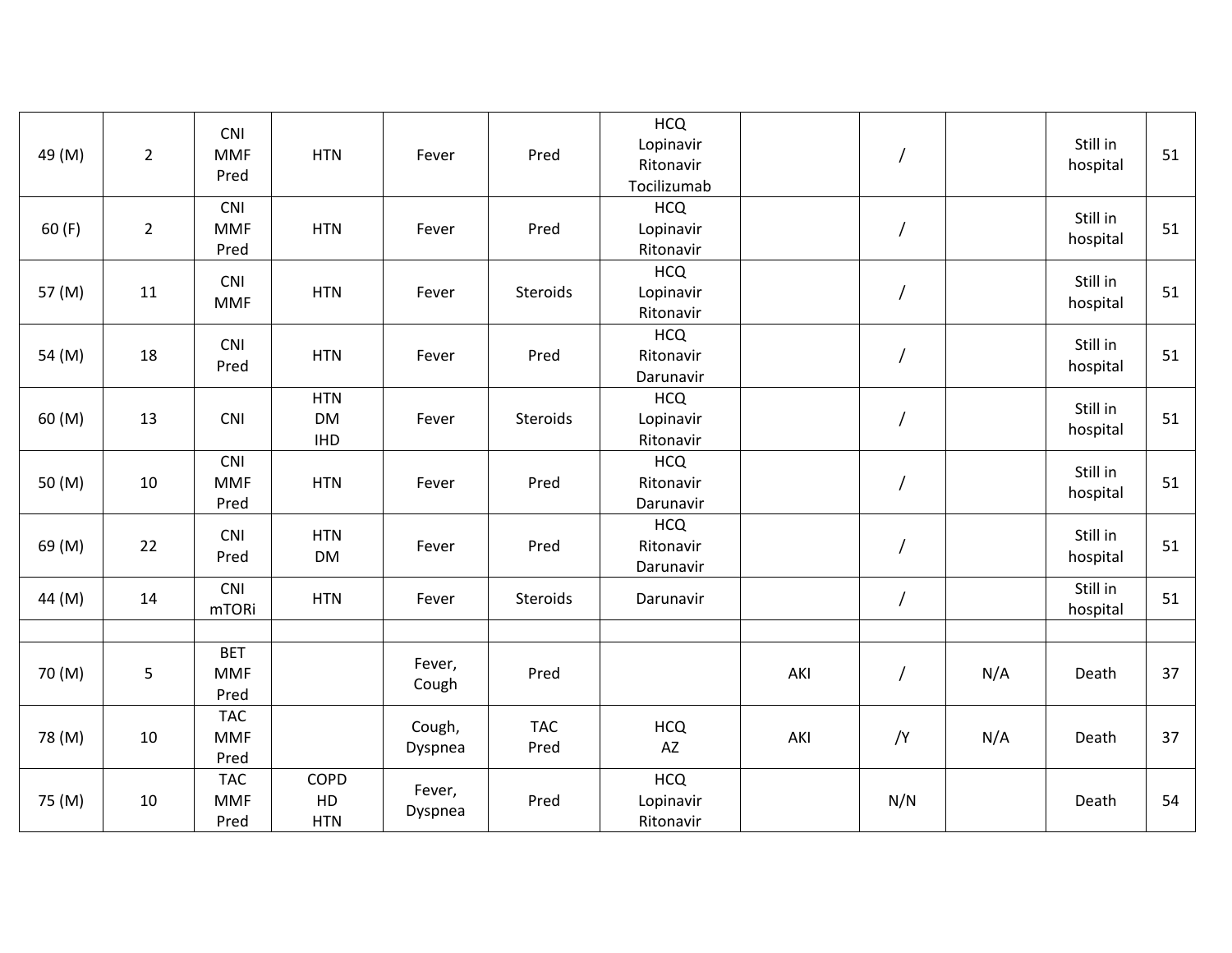| 49 (M) | $\overline{2}$ | CNI<br><b>MMF</b><br>Pred        | <b>HTN</b>                            | Fever             | Pred               | <b>HCQ</b><br>Lopinavir<br>Ritonavir<br>Tocilizumab |     |                |     | Still in<br>hospital | 51 |
|--------|----------------|----------------------------------|---------------------------------------|-------------------|--------------------|-----------------------------------------------------|-----|----------------|-----|----------------------|----|
| 60(F)  | $\overline{2}$ | CNI<br><b>MMF</b><br>Pred        | <b>HTN</b>                            | Fever             | Pred               | <b>HCQ</b><br>Lopinavir<br>Ritonavir                |     | $\overline{1}$ |     | Still in<br>hospital | 51 |
| 57 (M) | 11             | <b>CNI</b><br><b>MMF</b>         | <b>HTN</b>                            | Fever             | Steroids           | <b>HCQ</b><br>Lopinavir<br>Ritonavir                |     | I              |     | Still in<br>hospital | 51 |
| 54 (M) | 18             | CNI<br>Pred                      | <b>HTN</b>                            | Fever             | Pred               | <b>HCQ</b><br>Ritonavir<br>Darunavir                |     |                |     | Still in<br>hospital | 51 |
| 60 (M) | 13             | CNI                              | <b>HTN</b><br><b>DM</b><br><b>IHD</b> | Fever             | Steroids           | <b>HCQ</b><br>Lopinavir<br>Ritonavir                |     | $\overline{1}$ |     | Still in<br>hospital | 51 |
| 50 (M) | 10             | <b>CNI</b><br><b>MMF</b><br>Pred | <b>HTN</b>                            | Fever             | Pred               | <b>HCQ</b><br>Ritonavir<br>Darunavir                |     |                |     | Still in<br>hospital | 51 |
| 69 (M) | 22             | CNI<br>Pred                      | <b>HTN</b><br><b>DM</b>               | Fever             | Pred               | <b>HCQ</b><br>Ritonavir<br>Darunavir                |     |                |     | Still in<br>hospital | 51 |
| 44 (M) | 14             | CNI<br>mTORi                     | <b>HTN</b>                            | Fever             | Steroids           | Darunavir                                           |     | $\prime$       |     | Still in<br>hospital | 51 |
|        |                |                                  |                                       |                   |                    |                                                     |     |                |     |                      |    |
| 70 (M) | 5              | <b>BET</b><br><b>MMF</b><br>Pred |                                       | Fever,<br>Cough   | Pred               |                                                     | AKI |                | N/A | Death                | 37 |
| 78 (M) | 10             | <b>TAC</b><br><b>MMF</b><br>Pred |                                       | Cough,<br>Dyspnea | <b>TAC</b><br>Pred | <b>HCQ</b><br>AZ                                    | AKI | /Y             | N/A | Death                | 37 |
| 75 (M) | 10             | <b>TAC</b><br><b>MMF</b><br>Pred | COPD<br>HD<br><b>HTN</b>              | Fever,<br>Dyspnea | Pred               | <b>HCQ</b><br>Lopinavir<br>Ritonavir                |     | N/N            |     | Death                | 54 |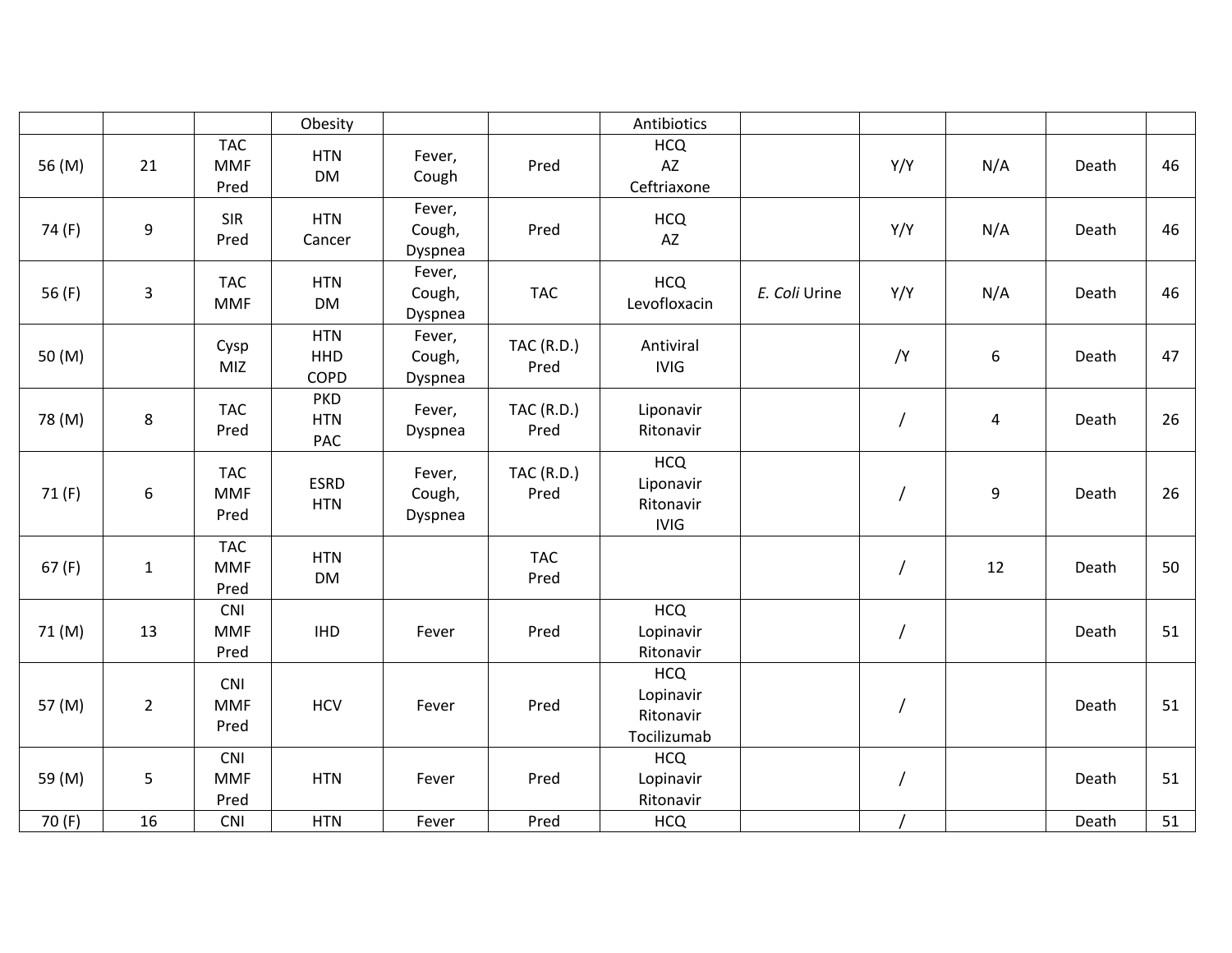|          |                  |                                  | Obesity                          |                             |                           | Antibiotics                                         |               |                |                         |       |    |
|----------|------------------|----------------------------------|----------------------------------|-----------------------------|---------------------------|-----------------------------------------------------|---------------|----------------|-------------------------|-------|----|
| 56 (M)   | 21               | <b>TAC</b><br><b>MMF</b><br>Pred | <b>HTN</b><br><b>DM</b>          | Fever,<br>Cough             | Pred                      | <b>HCQ</b><br>AZ<br>Ceftriaxone                     |               | Y/Y            | N/A                     | Death | 46 |
| 74 (F)   | 9                | <b>SIR</b><br>Pred               | <b>HTN</b><br>Cancer             | Fever,<br>Cough,<br>Dyspnea | Pred                      | <b>HCQ</b><br>AZ                                    |               | Y/Y            | N/A                     | Death | 46 |
| 56 $(F)$ | 3                | <b>TAC</b><br><b>MMF</b>         | <b>HTN</b><br><b>DM</b>          | Fever,<br>Cough,<br>Dyspnea | <b>TAC</b>                | <b>HCQ</b><br>Levofloxacin                          | E. Coli Urine | Y/Y            | N/A                     | Death | 46 |
| 50 (M)   |                  | Cysp<br>MIZ                      | <b>HTN</b><br><b>HHD</b><br>COPD | Fever,<br>Cough,<br>Dyspnea | <b>TAC (R.D.)</b><br>Pred | Antiviral<br><b>IVIG</b>                            |               | /Y             | 6                       | Death | 47 |
| 78 (M)   | 8                | <b>TAC</b><br>Pred               | <b>PKD</b><br><b>HTN</b><br>PAC  | Fever,<br>Dyspnea           | <b>TAC (R.D.)</b><br>Pred | Liponavir<br>Ritonavir                              |               | $\prime$       | $\overline{\mathbf{4}}$ | Death | 26 |
| 71(F)    | $\boldsymbol{6}$ | <b>TAC</b><br><b>MMF</b><br>Pred | <b>ESRD</b><br><b>HTN</b>        | Fever,<br>Cough,<br>Dyspnea | <b>TAC (R.D.)</b><br>Pred | <b>HCQ</b><br>Liponavir<br>Ritonavir<br><b>IVIG</b> |               |                | 9                       | Death | 26 |
| 67(F)    | $\mathbf{1}$     | <b>TAC</b><br><b>MMF</b><br>Pred | <b>HTN</b><br><b>DM</b>          |                             | <b>TAC</b><br>Pred        |                                                     |               | 7              | 12                      | Death | 50 |
| 71 (M)   | 13               | CNI<br><b>MMF</b><br>Pred        | <b>IHD</b>                       | Fever                       | Pred                      | <b>HCQ</b><br>Lopinavir<br>Ritonavir                |               | $\overline{1}$ |                         | Death | 51 |
| 57 (M)   | $\overline{2}$   | <b>CNI</b><br><b>MMF</b><br>Pred | <b>HCV</b>                       | Fever                       | Pred                      | <b>HCQ</b><br>Lopinavir<br>Ritonavir<br>Tocilizumab |               | $\overline{1}$ |                         | Death | 51 |
| 59 (M)   | 5                | CNI<br><b>MMF</b><br>Pred        | <b>HTN</b>                       | Fever                       | Pred                      | <b>HCQ</b><br>Lopinavir<br>Ritonavir                |               |                |                         | Death | 51 |
| 70 (F)   | 16               | <b>CNI</b>                       | <b>HTN</b>                       | Fever                       | Pred                      | <b>HCQ</b>                                          |               |                |                         | Death | 51 |